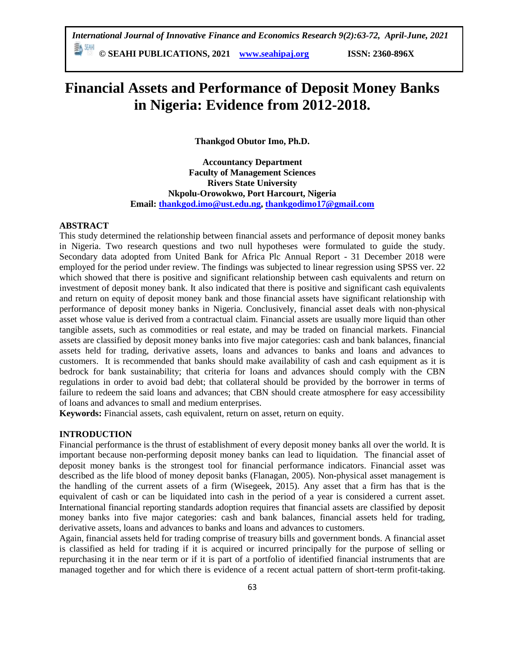**© SEAHI PUBLICATIONS, 2021 [www.seahipaj.org](http://www.seahipaj.org/) ISSN: 2360-896X**

# **Financial Assets and Performance of Deposit Money Banks in Nigeria: Evidence from 2012-2018.**

**Thankgod Obutor Imo, Ph.D.**

**Accountancy Department Faculty of Management Sciences Rivers State University Nkpolu-Orowokwo, Port Harcourt, Nigeria Email: [thankgod.imo@ust.edu.ng,](mailto:thankgod.imo@ust.edu.ng) [thankgodimo17@gmail.com](mailto:thankgodimo17@gmail.com)**

#### **ABSTRACT**

This study determined the relationship between financial assets and performance of deposit money banks in Nigeria. Two research questions and two null hypotheses were formulated to guide the study. Secondary data adopted from United Bank for Africa Plc Annual Report - 31 December 2018 were employed for the period under review. The findings was subjected to linear regression using SPSS ver. 22 which showed that there is positive and significant relationship between cash equivalents and return on investment of deposit money bank. It also indicated that there is positive and significant cash equivalents and return on equity of deposit money bank and those financial assets have significant relationship with performance of deposit money banks in Nigeria. Conclusively, financial asset deals with non-physical asset whose value is derived from a contractual claim. Financial assets are usually more liquid than other tangible assets, such as commodities or real estate, and may be traded on financial markets. Financial assets are classified by deposit money banks into five major categories: cash and bank balances, financial assets held for trading, derivative assets, loans and advances to banks and loans and advances to customers. It is recommended that banks should make availability of cash and cash equipment as it is bedrock for bank sustainability; that criteria for loans and advances should comply with the CBN regulations in order to avoid bad debt; that collateral should be provided by the borrower in terms of failure to redeem the said loans and advances; that CBN should create atmosphere for easy accessibility of loans and advances to small and medium enterprises.

**Keywords:** Financial assets, cash equivalent, return on asset, return on equity.

#### **INTRODUCTION**

Financial performance is the thrust of establishment of every deposit money banks all over the world. It is important because non-performing deposit money banks can lead to liquidation. The financial asset of deposit money banks is the strongest tool for financial performance indicators. Financial asset was described as the life blood of money deposit banks (Flanagan, 2005). Non-physical asset management is the handling of the current assets of a firm (Wisegeek, 2015). Any asset that a firm has that is the equivalent of cash or can be liquidated into cash in the period of a year is considered a current asset. International financial reporting standards adoption requires that financial assets are classified by deposit money banks into five major categories: cash and bank balances, financial assets held for trading, derivative assets, loans and advances to banks and loans and advances to customers.

Again, financial assets held for trading comprise of treasury bills and government bonds. A financial asset is classified as held for trading if it is acquired or incurred principally for the purpose of selling or repurchasing it in the near term or if it is part of a portfolio of identified financial instruments that are managed together and for which there is evidence of a recent actual pattern of short-term profit-taking.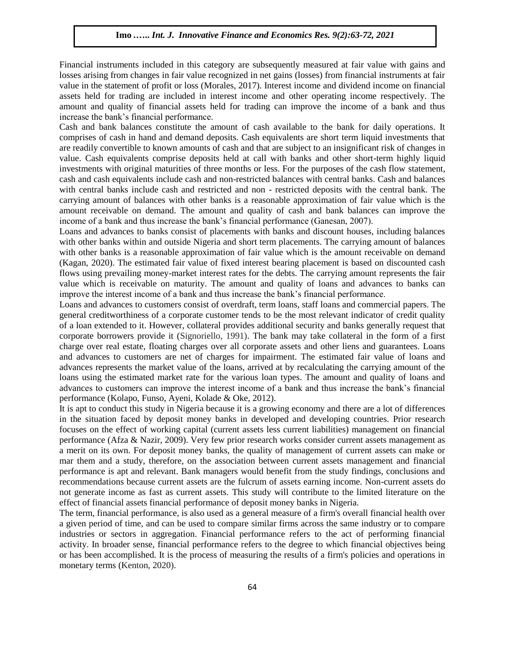Financial instruments included in this category are subsequently measured at fair value with gains and losses arising from changes in fair value recognized in net gains (losses) from financial instruments at fair value in the statement of profit or loss (Morales, 2017). Interest income and dividend income on financial assets held for trading are included in interest income and other operating income respectively. The amount and quality of financial assets held for trading can improve the income of a bank and thus increase the bank's financial performance.

Cash and bank balances constitute the amount of cash available to the bank for daily operations. It comprises of cash in hand and demand deposits. Cash equivalents are short term liquid investments that are readily convertible to known amounts of cash and that are subject to an insignificant risk of changes in value. Cash equivalents comprise deposits held at call with banks and other short-term highly liquid investments with original maturities of three months or less. For the purposes of the cash flow statement, cash and cash equivalents include cash and non-restricted balances with central banks. Cash and balances with central banks include cash and restricted and non - restricted deposits with the central bank. The carrying amount of balances with other banks is a reasonable approximation of fair value which is the amount receivable on demand. The amount and quality of cash and bank balances can improve the income of a bank and thus increase the bank's financial performance (Ganesan, 2007).

Loans and advances to banks consist of placements with banks and discount houses, including balances with other banks within and outside Nigeria and short term placements. The carrying amount of balances with other banks is a reasonable approximation of fair value which is the amount receivable on demand (Kagan, 2020). The estimated fair value of fixed interest bearing placement is based on discounted cash flows using prevailing money-market interest rates for the debts. The carrying amount represents the fair value which is receivable on maturity. The amount and quality of loans and advances to banks can improve the interest income of a bank and thus increase the bank's financial performance.

Loans and advances to customers consist of overdraft, term loans, staff loans and commercial papers. The general creditworthiness of a corporate customer tends to be the most relevant indicator of credit quality of a loan extended to it. However, collateral provides additional security and banks generally request that corporate borrowers provide it (Signoriello, 1991). The bank may take collateral in the form of a first charge over real estate, floating charges over all corporate assets and other liens and guarantees. Loans and advances to customers are net of charges for impairment. The estimated fair value of loans and advances represents the market value of the loans, arrived at by recalculating the carrying amount of the loans using the estimated market rate for the various loan types. The amount and quality of loans and advances to customers can improve the interest income of a bank and thus increase the bank's financial performance (Kolapo, Funso, Ayeni, Kolade & Oke, 2012).

It is apt to conduct this study in Nigeria because it is a growing economy and there are a lot of differences in the situation faced by deposit money banks in developed and developing countries. Prior research focuses on the effect of working capital (current assets less current liabilities) management on financial performance (Afza & Nazir, 2009). Very few prior research works consider current assets management as a merit on its own. For deposit money banks, the quality of management of current assets can make or mar them and a study, therefore, on the association between current assets management and financial performance is apt and relevant. Bank managers would benefit from the study findings, conclusions and recommendations because current assets are the fulcrum of assets earning income. Non-current assets do not generate income as fast as current assets. This study will contribute to the limited literature on the effect of financial assets financial performance of deposit money banks in Nigeria.

The term, financial performance, is also used as a general measure of a firm's overall financial health over a given period of time, and can be used to compare similar firms across the same industry or to compare industries or sectors in aggregation. Financial performance refers to the act of performing financial activity. In broader sense, financial performance refers to the degree to which financial objectives being or has been accomplished. It is the process of measuring the results of a firm's policies and operations in monetary terms (Kenton, 2020).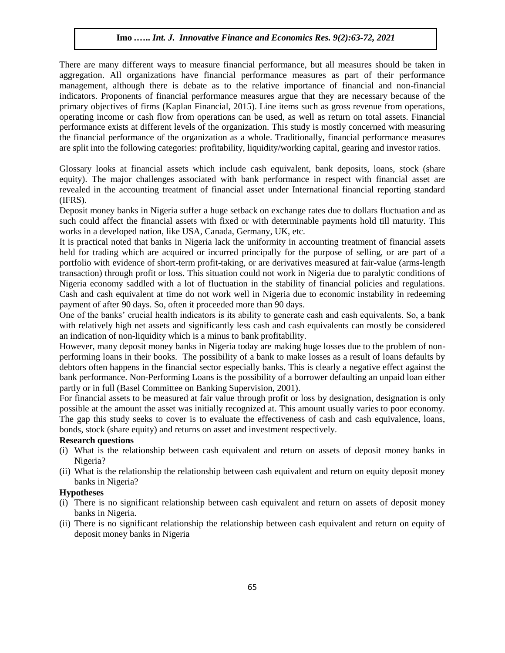There are many different ways to measure financial performance, but all measures should be taken in aggregation. All organizations have financial performance measures as part of their performance management, although there is debate as to the relative importance of financial and non-financial indicators. Proponents of financial performance measures argue that they are necessary because of the primary objectives of firms (Kaplan Financial, 2015). Line items such as gross revenue from operations, operating income or cash flow from operations can be used, as well as return on total assets. Financial performance exists at different levels of the organization. This study is mostly concerned with measuring the financial performance of the organization as a whole. Traditionally, financial performance measures are split into the following categories: profitability, liquidity/working capital, gearing and investor ratios.

Glossary looks at financial assets which include cash equivalent, bank deposits, loans, stock (share equity). The major challenges associated with bank performance in respect with financial asset are revealed in the accounting treatment of financial asset under International financial reporting standard (IFRS).

Deposit money banks in Nigeria suffer a huge setback on exchange rates due to dollars fluctuation and as such could affect the financial assets with fixed or with determinable payments hold till maturity. This works in a developed nation, like USA, Canada, Germany, UK, etc.

It is practical noted that banks in Nigeria lack the uniformity in accounting treatment of financial assets held for trading which are acquired or incurred principally for the purpose of selling, or are part of a portfolio with evidence of short-term profit-taking, or are derivatives measured at fair-value (arms-length transaction) through profit or loss. This situation could not work in Nigeria due to paralytic conditions of Nigeria economy saddled with a lot of fluctuation in the stability of financial policies and regulations. Cash and cash equivalent at time do not work well in Nigeria due to economic instability in redeeming payment of after 90 days. So, often it proceeded more than 90 days.

One of the banks' crucial health indicators is its ability to generate cash and cash equivalents. So, a bank with relatively high net assets and significantly less cash and cash equivalents can mostly be considered an indication of non-liquidity which is a minus to bank profitability.

However, many deposit money banks in Nigeria today are making huge losses due to the problem of nonperforming loans in their books. The possibility of a bank to make losses as a result of loans defaults by debtors often happens in the financial sector especially banks. This is clearly a negative effect against the bank performance. Non-Performing Loans is the possibility of a borrower defaulting an unpaid loan either partly or in full (Basel Committee on Banking Supervision, 2001).

For financial assets to be measured at fair value through profit or loss by designation, designation is only possible at the amount the asset was initially recognized at. This amount usually varies to poor economy. The gap this study seeks to cover is to evaluate the effectiveness of cash and cash equivalence, loans, bonds, stock (share equity) and returns on asset and investment respectively.

## **Research questions**

- (i) What is the relationship between cash equivalent and return on assets of deposit money banks in Nigeria?
- (ii) What is the relationship the relationship between cash equivalent and return on equity deposit money banks in Nigeria?

# **Hypotheses**

- (i) There is no significant relationship between cash equivalent and return on assets of deposit money banks in Nigeria.
- (ii) There is no significant relationship the relationship between cash equivalent and return on equity of deposit money banks in Nigeria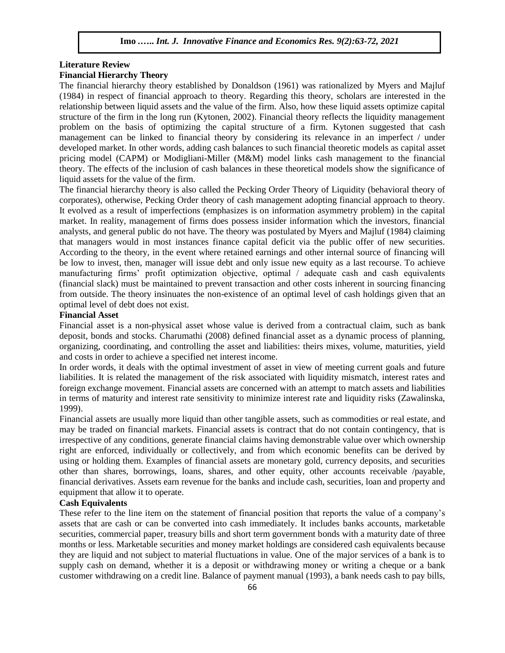# **Literature Review**

# **Financial Hierarchy Theory**

The financial hierarchy theory established by Donaldson (1961) was rationalized by Myers and Majluf (1984) in respect of financial approach to theory. Regarding this theory, scholars are interested in the relationship between liquid assets and the value of the firm. Also, how these liquid assets optimize capital structure of the firm in the long run (Kytonen, 2002). Financial theory reflects the liquidity management problem on the basis of optimizing the capital structure of a firm. Kytonen suggested that cash management can be linked to financial theory by considering its relevance in an imperfect / under developed market. In other words, adding cash balances to such financial theoretic models as capital asset pricing model (CAPM) or Modigliani-Miller (M&M) model links cash management to the financial theory. The effects of the inclusion of cash balances in these theoretical models show the significance of liquid assets for the value of the firm.

The financial hierarchy theory is also called the Pecking Order Theory of Liquidity (behavioral theory of corporates), otherwise, Pecking Order theory of cash management adopting financial approach to theory. It evolved as a result of imperfections (emphasizes is on information asymmetry problem) in the capital market. In reality, management of firms does possess insider information which the investors, financial analysts, and general public do not have. The theory was postulated by Myers and Majluf (1984) claiming that managers would in most instances finance capital deficit via the public offer of new securities. According to the theory, in the event where retained earnings and other internal source of financing will be low to invest, then, manager will issue debt and only issue new equity as a last recourse. To achieve manufacturing firms' profit optimization objective, optimal / adequate cash and cash equivalents (financial slack) must be maintained to prevent transaction and other costs inherent in sourcing financing from outside. The theory insinuates the non-existence of an optimal level of cash holdings given that an optimal level of debt does not exist.

## **Financial Asset**

Financial asset is a non-physical asset whose value is derived from a contractual claim, such as bank deposit, bonds and stocks. Charumathi (2008) defined financial asset as a dynamic process of planning, organizing, coordinating, and controlling the asset and liabilities: theirs mixes, volume, maturities, yield and costs in order to achieve a specified net interest income.

In order words, it deals with the optimal investment of asset in view of meeting current goals and future liabilities. It is related the management of the risk associated with liquidity mismatch, interest rates and foreign exchange movement. Financial assets are concerned with an attempt to match assets and liabilities in terms of maturity and interest rate sensitivity to minimize interest rate and liquidity risks (Zawalinska, 1999).

Financial assets are usually more liquid than other tangible assets, such as commodities or real estate, and may be traded on financial markets. Financial assets is contract that do not contain contingency, that is irrespective of any conditions, generate financial claims having demonstrable value over which ownership right are enforced, individually or collectively, and from which economic benefits can be derived by using or holding them. Examples of financial assets are monetary gold, currency deposits, and securities other than shares, borrowings, loans, shares, and other equity, other accounts receivable /payable, financial derivatives. Assets earn revenue for the banks and include cash, securities, loan and property and equipment that allow it to operate.

## **Cash Equivalents**

These refer to the line item on the statement of financial position that reports the value of a company's assets that are cash or can be converted into cash immediately. It includes banks accounts, marketable securities, commercial paper, treasury bills and short term government bonds with a maturity date of three months or less. Marketable securities and money market holdings are considered cash equivalents because they are liquid and not subject to material fluctuations in value. One of the major services of a bank is to supply cash on demand, whether it is a deposit or withdrawing money or writing a cheque or a bank customer withdrawing on a credit line. Balance of payment manual (1993), a bank needs cash to pay bills,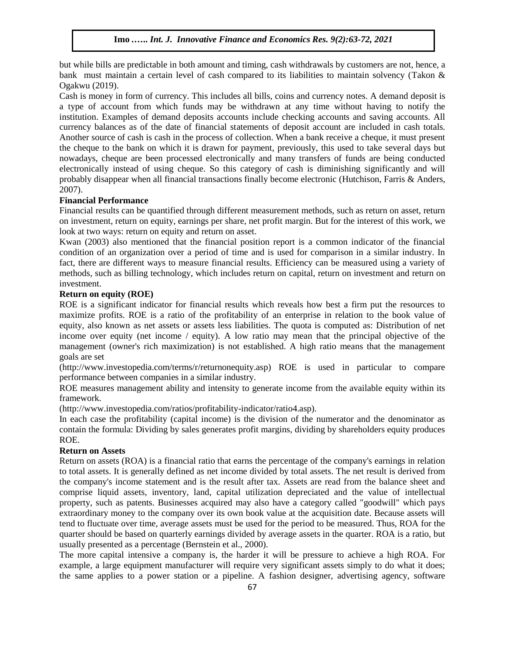but while bills are predictable in both amount and timing, cash withdrawals by customers are not, hence, a bank must maintain a certain level of cash compared to its liabilities to maintain solvency (Takon & Ogakwu (2019).

Cash is money in form of currency. This includes all bills, coins and currency notes. A demand deposit is a type of account from which funds may be withdrawn at any time without having to notify the institution. Examples of demand deposits accounts include checking accounts and saving accounts. All currency balances as of the date of financial statements of deposit account are included in cash totals. Another source of cash is cash in the process of collection. When a bank receive a cheque, it must present the cheque to the bank on which it is drawn for payment, previously, this used to take several days but nowadays, cheque are been processed electronically and many transfers of funds are being conducted electronically instead of using cheque. So this category of cash is diminishing significantly and will probably disappear when all financial transactions finally become electronic (Hutchison, Farris & Anders, 2007).

## **Financial Performance**

Financial results can be quantified through different measurement methods, such as return on asset, return on investment, return on equity, earnings per share, net profit margin. But for the interest of this work, we look at two ways: return on equity and return on asset.

Kwan (2003) also mentioned that the financial position report is a common indicator of the financial condition of an organization over a period of time and is used for comparison in a similar industry. In fact, there are different ways to measure financial results. Efficiency can be measured using a variety of methods, such as billing technology, which includes return on capital, return on investment and return on investment.

# **Return on equity (ROE)**

ROE is a significant indicator for financial results which reveals how best a firm put the resources to maximize profits. ROE is a ratio of the profitability of an enterprise in relation to the book value of equity, also known as net assets or assets less liabilities. The quota is computed as: Distribution of net income over equity (net income / equity). A low ratio may mean that the principal objective of the management (owner's rich maximization) is not established. A high ratio means that the management goals are set

(http://www.investopedia.com/terms/r/returnonequity.asp) ROE is used in particular to compare performance between companies in a similar industry.

ROE measures management ability and intensity to generate income from the available equity within its framework.

(http://www.investopedia.com/ratios/profitability-indicator/ratio4.asp).

In each case the profitability (capital income) is the division of the numerator and the denominator as contain the formula: Dividing by sales generates profit margins, dividing by shareholders equity produces ROE.

#### **Return on Assets**

Return on assets (ROA) is a financial ratio that earns the percentage of the company's earnings in relation to total assets. It is generally defined as net income divided by total assets. The net result is derived from the company's income statement and is the result after tax. Assets are read from the balance sheet and comprise liquid assets, inventory, land, capital utilization depreciated and the value of intellectual property, such as patents. Businesses acquired may also have a category called "goodwill" which pays extraordinary money to the company over its own book value at the acquisition date. Because assets will tend to fluctuate over time, average assets must be used for the period to be measured. Thus, ROA for the quarter should be based on quarterly earnings divided by average assets in the quarter. ROA is a ratio, but usually presented as a percentage (Bernstein et al., 2000).

The more capital intensive a company is, the harder it will be pressure to achieve a high ROA. For example, a large equipment manufacturer will require very significant assets simply to do what it does; the same applies to a power station or a pipeline. A fashion designer, advertising agency, software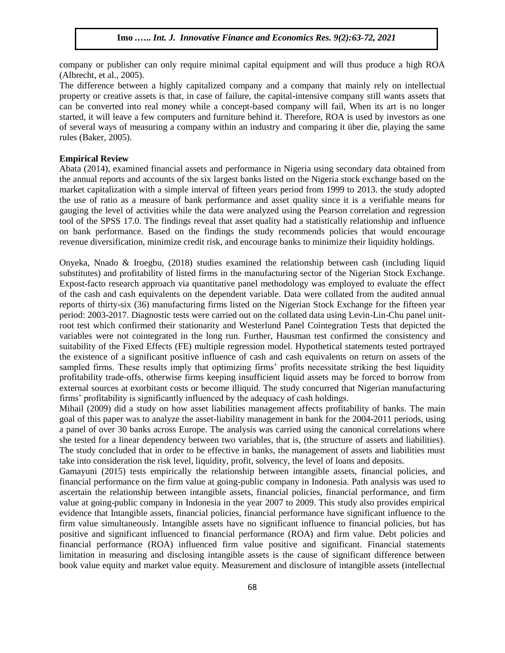company or publisher can only require minimal capital equipment and will thus produce a high ROA (Albrecht, et al., 2005).

The difference between a highly capitalized company and a company that mainly rely on intellectual property or creative assets is that, in case of failure, the capital-intensive company still wants assets that can be converted into real money while a concept-based company will fail, When its art is no longer started, it will leave a few computers and furniture behind it. Therefore, ROA is used by investors as one of several ways of measuring a company within an industry and comparing it über die, playing the same rules (Baker, 2005).

#### **Empirical Review**

Abata (2014), examined financial assets and performance in Nigeria using secondary data obtained from the annual reports and accounts of the six largest banks listed on the Nigeria stock exchange based on the market capitalization with a simple interval of fifteen years period from 1999 to 2013. the study adopted the use of ratio as a measure of bank performance and asset quality since it is a verifiable means for gauging the level of activities while the data were analyzed using the Pearson correlation and regression tool of the SPSS 17.0. The findings reveal that asset quality had a statistically relationship and influence on bank performance. Based on the findings the study recommends policies that would encourage revenue diversification, minimize credit risk, and encourage banks to minimize their liquidity holdings.

Onyeka, Nnado & Iroegbu, (2018) studies examined the relationship between cash (including liquid substitutes) and profitability of listed firms in the manufacturing sector of the Nigerian Stock Exchange. Expost-facto research approach via quantitative panel methodology was employed to evaluate the effect of the cash and cash equivalents on the dependent variable. Data were collated from the audited annual reports of thirty-six (36) manufacturing firms listed on the Nigerian Stock Exchange for the fifteen year period: 2003-2017. Diagnostic tests were carried out on the collated data using Levin-Lin-Chu panel unitroot test which confirmed their stationarity and Westerlund Panel Cointegration Tests that depicted the variables were not cointegrated in the long run. Further, Hausman test confirmed the consistency and suitability of the Fixed Effects (FE) multiple regression model. Hypothetical statements tested portrayed the existence of a significant positive influence of cash and cash equivalents on return on assets of the sampled firms. These results imply that optimizing firms' profits necessitate striking the best liquidity profitability trade-offs, otherwise firms keeping insufficient liquid assets may be forced to borrow from external sources at exorbitant costs or become illiquid. The study concurred that Nigerian manufacturing firms' profitability is significantly influenced by the adequacy of cash holdings.

Mihail (2009) did a study on how asset liabilities management affects profitability of banks. The main goal of this paper was to analyze the asset-liability management in bank for the 2004-2011 periods, using a panel of over 30 banks across Europe. The analysis was carried using the canonical correlations where she tested for a linear dependency between two variables, that is, (the structure of assets and liabilities). The study concluded that in order to be effective in banks, the management of assets and liabilities must take into consideration the risk level, liquidity, profit, solvency, the level of loans and deposits.

Gamayuni (2015) tests empirically the relationship between intangible assets, financial policies, and financial performance on the firm value at going-public company in Indonesia. Path analysis was used to ascertain the relationship between intangible assets, financial policies, financial performance, and firm value at going-public company in Indonesia in the year 2007 to 2009. This study also provides empirical evidence that Intangible assets, financial policies, financial performance have significant influence to the firm value simultaneously. Intangible assets have no significant influence to financial policies, but has positive and significant influenced to financial performance (ROA) and firm value. Debt policies and financial performance (ROA) influenced firm value positive and significant. Financial statements limitation in measuring and disclosing intangible assets is the cause of significant difference between book value equity and market value equity. Measurement and disclosure of intangible assets (intellectual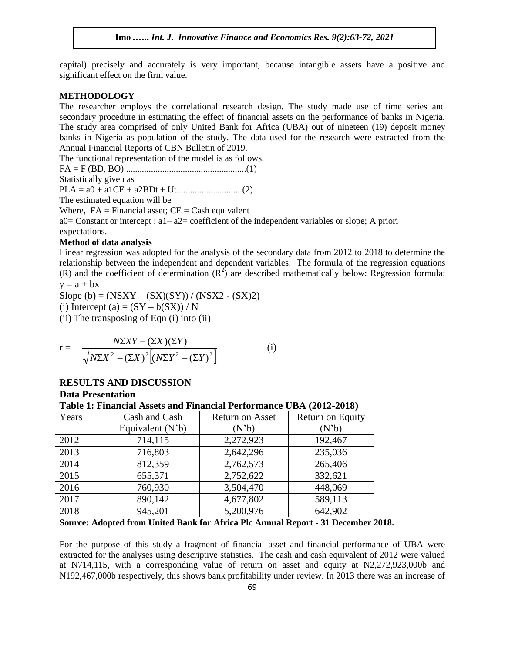capital) precisely and accurately is very important, because intangible assets have a positive and significant effect on the firm value.

#### **METHODOLOGY**

The researcher employs the correlational research design. The study made use of time series and secondary procedure in estimating the effect of financial assets on the performance of banks in Nigeria. The study area comprised of only United Bank for Africa (UBA) out of nineteen (19) deposit money banks in Nigeria as population of the study. The data used for the research were extracted from the Annual Financial Reports of CBN Bulletin of 2019.

The functional representation of the model is as follows. FA = F (BD, BO) .....................................................(1)

Statistically given as

PLA = a0 + a1CE + a2BDt + Ut............................ (2)

The estimated equation will be

Where,  $FA = Financial asset$ ;  $CE = Cash equivalent$ a0 = Constant or intercept ;  $a1 - a2$  = coefficient of the independent variables or slope; A priori expectations.

## **Method of data analysis**

Linear regression was adopted for the analysis of the secondary data from 2012 to 2018 to determine the relationship between the independent and dependent variables. The formula of the regression equations (R) and the coefficient of determination  $(R^2)$  are described mathematically below: Regression formula;  $y = a + bx$ 

Slope (b) =  $(NSXY - (SX)(SY)) / (NSX2 - (SX)2)$ 

(i) Intercept (a) =  $(SY - b(SX)) / N$ 

(ii) The transposing of Eqn (i) into (ii)

$$
r = \frac{N\Sigma XY - (\Sigma X)(\Sigma Y)}{\sqrt{N\Sigma X^2 - (\Sigma X)^2 \left[ (N\Sigma Y^2 - (\Sigma Y)^2 \right]}}
$$
 (i)

# **RESULTS AND DISCUSSION**

**Data Presentation**

### **Table 1: Financial Assets and Financial Performance UBA (2012-2018)**

| Years | Cash and Cash      | <b>Return on Asset</b> | Return on Equity |  |  |
|-------|--------------------|------------------------|------------------|--|--|
|       | Equivalent $(N'b)$ | $(N^{\prime}b)$        | $(N^{\prime}b)$  |  |  |
| 2012  | 714,115            | 2,272,923              | 192,467          |  |  |
| 2013  | 716,803            | 2,642,296              | 235,036          |  |  |
| 2014  | 812,359            | 2,762,573              | 265,406          |  |  |
| 2015  | 655,371            | 2,752,622              | 332,621          |  |  |
| 2016  | 760,930            | 3,504,470              | 448,069          |  |  |
| 2017  | 890,142            | 4,677,802              | 589,113          |  |  |
| 2018  | 945,201            | 5,200,976              | 642,902          |  |  |

**Source: Adopted from United Bank for Africa Plc Annual Report - 31 December 2018.**

For the purpose of this study a fragment of financial asset and financial performance of UBA were extracted for the analyses using descriptive statistics. The cash and cash equivalent of 2012 were valued at N714,115, with a corresponding value of return on asset and equity at N2,272,923,000b and N192,467,000b respectively, this shows bank profitability under review. In 2013 there was an increase of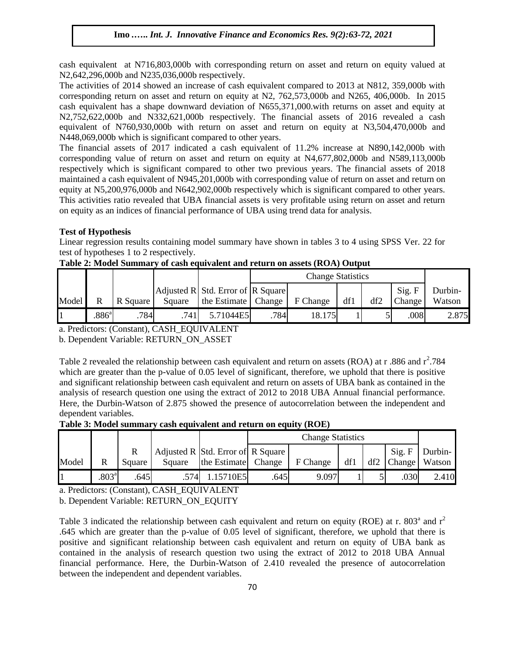cash equivalent at N716,803,000b with corresponding return on asset and return on equity valued at N2,642,296,000b and N235,036,000b respectively.

The activities of 2014 showed an increase of cash equivalent compared to 2013 at N812, 359,000b with corresponding return on asset and return on equity at N2, 762,573,000b and N265, 406,000b. In 2015 cash equivalent has a shape downward deviation of N655,371,000.with returns on asset and equity at N2,752,622,000b and N332,621,000b respectively. The financial assets of 2016 revealed a cash equivalent of N760,930,000b with return on asset and return on equity at N3,504,470,000b and N448,069,000b which is significant compared to other years.

The financial assets of 2017 indicated a cash equivalent of 11.2% increase at N890,142,000b with corresponding value of return on asset and return on equity at N4,677,802,000b and N589,113,000b respectively which is significant compared to other two previous years. The financial assets of 2018 maintained a cash equivalent of N945,201,000b with corresponding value of return on asset and return on equity at N5,200,976,000b and N642,902,000b respectively which is significant compared to other years. This activities ratio revealed that UBA financial assets is very profitable using return on asset and return on equity as an indices of financial performance of UBA using trend data for analysis.

## **Test of Hypothesis**

Linear regression results containing model summary have shown in tables 3 to 4 using SPSS Ver. 22 for test of hypotheses 1 to 2 respectively.

|       |               |          |        |                                                            | <b>Change Statistics</b> |          |     |     |                  |                   |
|-------|---------------|----------|--------|------------------------------------------------------------|--------------------------|----------|-----|-----|------------------|-------------------|
| Model |               | R Square | Square | Adjusted R Std. Error of R Square<br>the Estimate   Change |                          | F Change | df1 | df2 | Sig. F<br>Change | Durbin-<br>Watson |
|       | $886^{\circ}$ | 784      | .741   | 5.71044E5                                                  | 784                      | 18.175   |     |     | .008             | 2.875             |

**Table 2: Model Summary of cash equivalent and return on assets (ROA) Output**

a. Predictors: (Constant), CASH\_EQUIVALENT

b. Dependent Variable: RETURN\_ON\_ASSET

Table 2 revealed the relationship between cash equivalent and return on assets (ROA) at r.886 and  $r^2$ .784 which are greater than the p-value of 0.05 level of significant, therefore, we uphold that there is positive and significant relationship between cash equivalent and return on assets of UBA bank as contained in the analysis of research question one using the extract of 2012 to 2018 UBA Annual financial performance. Here, the Durbin-Watson of 2.875 showed the presence of autocorrelation between the independent and dependent variables.

**Table 3: Model summary cash equivalent and return on equity (ROE)** 

|       |                   |        |        |                                                   | <b>Change Statistics</b> |          |     |  |                        |                   |
|-------|-------------------|--------|--------|---------------------------------------------------|--------------------------|----------|-----|--|------------------------|-------------------|
| Model | R                 | Square | Square | Adjusted R Std. Error of R Square<br>the Estimate | Change                   | F Change | df1 |  | Sig. F<br>$df2$ Change | Durbin-<br>Watson |
|       | .803 <sup>a</sup> | .645   | .574   | 15710E5                                           | .645                     | 9.097    |     |  | .030                   | 2.410             |

a. Predictors: (Constant), CASH\_EQUIVALENT

b. Dependent Variable: RETURN\_ON\_EQUITY

Table 3 indicated the relationship between cash equivalent and return on equity (ROE) at r. 803<sup>a</sup> and  $r^2$ .645 which are greater than the p-value of 0.05 level of significant, therefore, we uphold that there is positive and significant relationship between cash equivalent and return on equity of UBA bank as contained in the analysis of research question two using the extract of 2012 to 2018 UBA Annual financial performance. Here, the Durbin-Watson of 2.410 revealed the presence of autocorrelation between the independent and dependent variables.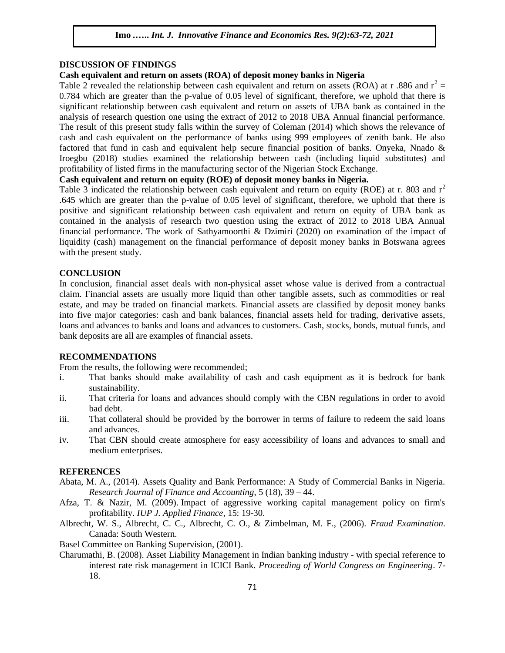## **DISCUSSION OF FINDINGS**

# **Cash equivalent and return on assets (ROA) of deposit money banks in Nigeria**

Table 2 revealed the relationship between cash equivalent and return on assets (ROA) at r .886 and  $r^2$  = 0.784 which are greater than the p-value of 0.05 level of significant, therefore, we uphold that there is significant relationship between cash equivalent and return on assets of UBA bank as contained in the analysis of research question one using the extract of 2012 to 2018 UBA Annual financial performance. The result of this present study falls within the survey of Coleman (2014) which shows the relevance of cash and cash equivalent on the performance of banks using 999 employees of zenith bank. He also factored that fund in cash and equivalent help secure financial position of banks. Onyeka, Nnado & Iroegbu (2018) studies examined the relationship between cash (including liquid substitutes) and profitability of listed firms in the manufacturing sector of the Nigerian Stock Exchange.

## **Cash equivalent and return on equity (ROE) of deposit money banks in Nigeria.**

Table 3 indicated the relationship between cash equivalent and return on equity (ROE) at r. 803 and  $r^2$ .645 which are greater than the p-value of 0.05 level of significant, therefore, we uphold that there is positive and significant relationship between cash equivalent and return on equity of UBA bank as contained in the analysis of research two question using the extract of 2012 to 2018 UBA Annual financial performance. The work of Sathyamoorthi & Dzimiri (2020) on examination of the impact of liquidity (cash) management on the financial performance of deposit money banks in Botswana agrees with the present study.

## **CONCLUSION**

In conclusion, financial asset deals with non-physical asset whose value is derived from a contractual claim. Financial assets are usually more liquid than other tangible assets, such as commodities or real estate, and may be traded on financial markets. Financial assets are classified by deposit money banks into five major categories: cash and bank balances, financial assets held for trading, derivative assets, loans and advances to banks and loans and advances to customers. Cash, stocks, bonds, mutual funds, and bank deposits are all are examples of financial assets.

#### **RECOMMENDATIONS**

From the results, the following were recommended;

- i. That banks should make availability of cash and cash equipment as it is bedrock for bank sustainability.
- ii. That criteria for loans and advances should comply with the CBN regulations in order to avoid bad debt.
- iii. That collateral should be provided by the borrower in terms of failure to redeem the said loans and advances.
- iv. That CBN should create atmosphere for easy accessibility of loans and advances to small and medium enterprises.

#### **REFERENCES**

- Abata, M. A., (2014). Assets Quality and Bank Performance: A Study of Commercial Banks in Nigeria. *Research Journal of Finance and Accounting*, 5 (18), 39 – 44.
- Afza, T. & Nazir, M. (2009). Impact of aggressive working capital management policy on firm's profitability. *IUP J. Applied Finance,* 15: 19-30.
- Albrecht, W. S., Albrecht, C. C., Albrecht, C. O., & Zimbelman, M. F., (2006). *Fraud Examination*. Canada: South Western.
- Basel Committee on Banking Supervision, (2001).
- Charumathi, B. (2008). Asset Liability Management in Indian banking industry with special reference to interest rate risk management in ICICI Bank. *Proceeding of World Congress on Engineering*. 7- 18.